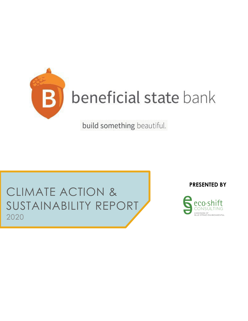

build something beautiful.

### CLIMATE ACTION & SUSTAINABILITY REPORT 2020

**PRESENTED BY**

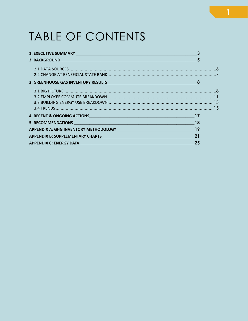## TABLE OF CONTENTS

| 1. EXECUTIVE SUMMARY NEWSFILM AND THE RESIDENCE OF A SERIES OF A SERIES OF A SERIES OF A SERIES OF A SERIES OF                                                                                                                 |    |  |
|--------------------------------------------------------------------------------------------------------------------------------------------------------------------------------------------------------------------------------|----|--|
|                                                                                                                                                                                                                                |    |  |
|                                                                                                                                                                                                                                |    |  |
|                                                                                                                                                                                                                                |    |  |
|                                                                                                                                                                                                                                |    |  |
|                                                                                                                                                                                                                                |    |  |
|                                                                                                                                                                                                                                |    |  |
|                                                                                                                                                                                                                                |    |  |
| 4. RECENT & ONGOING ACTIONS MANUSCRIPT OF THE RECENT OF THE RECENT OF THE RECENT OF THE RECENT OF THE RECENT OF THE RECENTLE OF THE RECENTLE OF THE RECENTLE OF THE RECENTLE OF THE RECENTLE OF THE RECENTLE OF THE RECENTLE O |    |  |
|                                                                                                                                                                                                                                |    |  |
| APPENDIX A: GHG INVENTORY METHODOLOGY MERRICLE AND THE MANUSCRIPTION OF THE MANUSCRIPTION OF THE MANUSCRIPTION                                                                                                                 |    |  |
|                                                                                                                                                                                                                                |    |  |
|                                                                                                                                                                                                                                | 25 |  |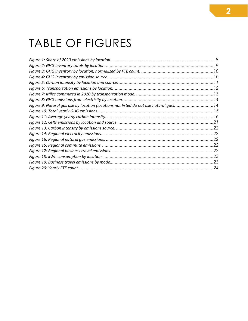## TABLE OF FIGURES

| Figure 9: Natural gas use by location (locations not listed do not use natural gas)14 |     |
|---------------------------------------------------------------------------------------|-----|
|                                                                                       |     |
|                                                                                       |     |
|                                                                                       |     |
|                                                                                       | .22 |
|                                                                                       |     |
|                                                                                       |     |
|                                                                                       |     |
|                                                                                       |     |
|                                                                                       |     |
|                                                                                       |     |
|                                                                                       |     |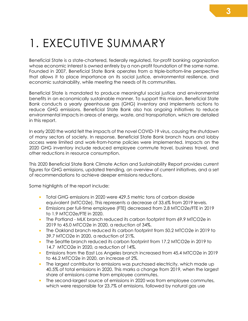# <span id="page-3-0"></span>1. EXECUTIVE SUMMARY

Beneficial State is a state-chartered, federally regulated, for-profit banking organization whose economic interest is owned entirely by a non-profit foundation of the same name. Founded in 2007, Beneficial State Bank operates from a triple-bottom-line perspective that allows it to place importance on its social justice, environmental resilience, and economic sustainability, while meeting the needs of its communities.

Beneficial State is mandated to produce meaningful social justice and environmental benefits in an economically sustainable manner. To support this mission, Beneficial State Bank conducts a yearly greenhouse gas (GHG) inventory and implements actions to reduce GHG emissions. Beneficial State Bank also has ongoing initiatives to reduce environmental impacts in areas of energy, waste, and transportation, which are detailed in this report.

In early 2020 the world felt the impacts of the novel COVID-19 virus, causing the shutdown of many sectors of society. In response, Beneficial State Bank branch hours and lobby access were limited and work-from-home policies were implemented. Impacts on the 2020 GHG inventory include reduced employee commute travel, business travel, and other reductions in resource consumption.

This 2020 Beneficial State Bank Climate Action and Sustainability Report provides current figures for GHG emissions, updated trending, an overview of current initiatives, and a set of recommendations to achieve deeper emissions reductions.

Some highlights of the report include:

- Total GHG emissions in 2020 were 429.5 metric tons of carbon dioxide equivalent (MTCO2e). This represents a decrease of 33.6% from 2019 levels.
- Emissions per full-time employee (FTE) decreased from 2.8 MTCO2e/FTE in 2019 to 1.9 MTCO2e/FTE in 2020.
- The Portland MLK branch reduced its carbon footprint from 69.9 MTCO2e in 2019 to 45.0 MTCO2e in 2020, a reduction of 34%.
- The Oakland branch reduced its carbon footprint from 50.2 MTCO2e in 2019 to 39.7 MTCO2e in 2020, a reduction of 21%.
- The Seattle branch reduced its carbon footprint from 17.2 MTCO2e in 2019 to 14.7 MTCO2e in 2020, a reduction of 14%.
- Emissions from the East Los Angeles branch increased from 45.4 MTCO2e in 2019 to 46.2 MTCO2e in 2020, an increase of 2%.
- The largest contributor to emissions was purchased electricity, which made up 40.5% of total emissions in 2020. This marks a change from 2019, when the largest share of emissions came from employee commutes.
- The second-largest source of emissions in 2020 was from employee commutes, which were responsible for 23.7% of emissions, followed by natural gas use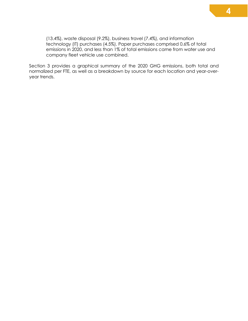(13.4%), waste disposal (9.2%), business travel (7.4%), and information technology (IT) purchases (4.5%). Paper purchases comprised 0.6% of total emissions in 2020, and less than 1% of total emissions came from water use and company fleet vehicle use combined.

Section 3 provides a graphical summary of the 2020 GHG emissions, both total and normalized per FTE, as well as a breakdown by source for each location and year-overyear trends.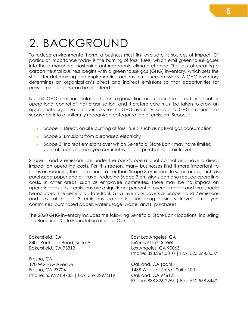# <span id="page-5-0"></span>2. BACKGROUND

To reduce environmental harm, a business must first evaluate its sources of impact. Of particular importance today is the burning of fossil fuels, which emit greenhouse gases into the atmosphere, hastening anthropogenic climate change. The task of creating a carbon neutral business begins with a greenhouse gas (GHG) inventory, which sets the stage for determining and implementing actions to reduce emissions. A GHG inventory determines an organization's direct and indirect emissions so that opportunities for emission reductions can be prioritized.

Not all GHG emissions related to an organization are under the direct financial or operational control of that organization, and therefore care must be taken to draw an appropriate organization boundary for the GHG inventory. Sources of GHG emissions are separated into a uniformly recognized categorization of emission 'Scopes':

- Scope 1: Direct, on-site burning of fossil fuels, such as natural gas consumption
- Scope 2: Emissions from purchased electricity
- Scope 3: Indirect emissions over which Beneficial State Bank may have limited control, such as employee commutes, paper purchases, or air travel.

Scope 1 and 2 emissions are under the bank's operational control and have a direct impact on operating costs. For this reason, many businesses find it more important to focus on reducing these emissions rather than Scope 3 emissions. In some areas, such as purchased paper and air travel, reducing Scope 3 emissions can also reduce operating costs. In other areas, such as employee commutes, there may be no impact on operating costs, but emissions are a significant percent of overall impact and thus should be included. The Beneficial State Bank GHG inventory covers all Scope 1 and 2 emissions and several Scope 3 emissions categories, including business travel, employee commutes, purchased paper, water usage, waste, and IT purchases.

The 2020 GHG inventory includes the following Beneficial State Bank locations, including the Beneficial State Foundation office in Oakland:

Bakersfield, CA 3401 Pacheco Road, Suite A Bakersfield, CA 93313

Fresno, CA 170 W Shaw Avenue Fresno, CA 93704 Phone: 559.271.4733 | Fax: 559.229.2319 East Los Angeles, CA 3626 East First Street Los Angeles, CA 90063 Phone: 323.264.3310 | Fax: 323.264.8057

Oakland, CA (bank) 1438 Webster Street, Suite 100 Oakland, CA 94612 Phone: 888.326.2265 | Fax: 510.558.8440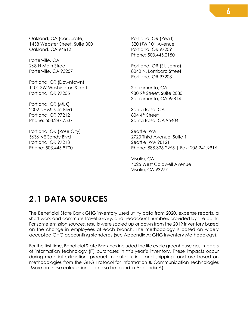Oakland, CA (corporate) 1438 Webster Street, Suite 300 Oakland, CA 94612

Porterville, CA 268 N Main Street Porterville, CA 93257

Portland, OR (Downtown) 1101 SW Washington Street Portland, OR 97205

Portland, OR (MLK) 2002 NE MLK Jr. Blvd Portland, OR 97212 Phone: 503.287.7537

Portland, OR (Rose City) 5636 NE Sandy Blvd Portland, OR 97213 Phone: 503.445.8700

Portland, OR (Pearl) 320 NW 10<sup>th</sup> Avenue Portland, OR 97209 Phone: 503.445.2150

Portland, OR (St. Johns) 8040 N. Lombard Street Portland, OR 97203

Sacramento, CA 980 9th Street, Suite 2080 Sacramento, CA 95814

Santa Rosa, CA 804 4th Street Santa Rosa, CA 95404

Seattle, WA 2720 Third Avenue, Suite 1 Seattle, WA 98121 Phone: 888.326.2265 | Fax: 206.241.9916

Visalia, CA 4025 West Caldwell Avenue Visalia, CA 93277

### <span id="page-6-0"></span>**2.1 DATA SOURCES**

The Beneficial State Bank GHG inventory used utility data from 2020, expense reports, a short work and commute travel survey, and headcount numbers provided by the bank. For some emission sources, results were scaled up or down from the 2019 inventory based on the change in employees at each branch. The methodology is based on widely accepted GHG accounting standards (see Appendix A: GHG Inventory Methodology).

For the first time, Beneficial State Bank has included the life cycle greenhouse gas impacts of information technology (IT) purchases in this year's inventory. These impacts occur during material extraction, product manufacturing, and shipping, and are based on methodologies from the GHG Protocol for Information & Communication Technologies (More on these calculations can also be found in Appendix A).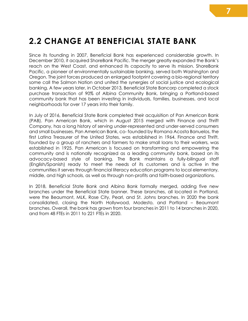### <span id="page-7-0"></span>**2.2 CHANGE AT BENEFICIAL STATE BANK**

Since its founding in 2007, Beneficial Bank has experienced considerable growth. In December 2010, it acquired ShoreBank Pacific. The merger greatly expanded the Bank's reach on the West Coast, and enhanced its capacity to serve its mission. ShoreBank Pacific, a pioneer of environmentally sustainable banking, served both Washington and Oregon. The joint forces produced an enlarged footprint covering a bio-regional territory some call the Salmon Nation and united the synergies of social justice and ecological banking. A few years later, in October 2013, Beneficial State Bancorp completed a stock purchase transaction of 90% of Albina Community Bank, bringing a Portland-based community bank that has been investing in individuals, families, businesses, and local neighborhoods for over 17 years into their family.

In July of 2016, Beneficial State Bank completed their acquisition of Pan American Bank (PAB). Pan American Bank, which in August 2015 merged with Finance and Thrift Company, has a long history of serving under-represented and under-served consumers and small businesses. Pan American Bank, co- founded by Romana Acosta Banuelos, the first Latina Treasurer of the United States, was established in 1964. Finance and Thrift, founded by a group of ranchers and farmers to make small loans to their workers, was established in 1925. Pan American is focused on transforming and empowering the community and is nationally recognized as a leading community bank, based on its advocacy-based style of banking. The Bank maintains a fully-bilingual staff (English/Spanish) ready to meet the needs of its customers and is active in the communities it serves through financial literacy education programs to local elementary, middle, and high schools, as well as through non-profits and faith-based organizations.

In 2018, Beneficial State Bank and Albina Bank formally merged, adding five new branches under the Beneficial State banner. These branches, all located in Portland, were the Beaumont, MLK, Rose City, Pearl, and St. Johns branches. In 2020 the bank consolidated, closing the North Hollywood, Modesto, and Portland – Beaumont branches. Overall, the bank has grown from four branches in 2011 to 14 branches in 2020, and from 48 FTEs in 2011 to 221 FTEs in 2020.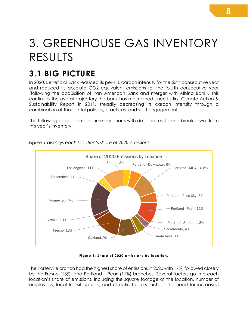## <span id="page-8-0"></span>3. GREENHOUSE GAS INVENTORY RESULTS

### <span id="page-8-1"></span>**3.1 BIG PICTURE**

In 2020, Beneficial Bank reduced its per-FTE carbon intensity for the sixth consecutive year and reduced its absolute CO2 equivalent emissions for the fourth consecutive year (following the acquisition of Pan American Bank and merger with Albina Bank). This continues the overall trajectory the bank has maintained since its first Climate Action & Sustainability Report in 2011, steadily decreasing its carbon intensity through a combination of thoughtful policies, practices, and staff engagement.

The following pages contain summary charts with detailed results and breakdowns from this year's inventory.



*Figure 1 displays each location's share of 2020 emissions.*

#### **Figure 1: Share of 2020 emissions by location.**

<span id="page-8-2"></span>The Porterville branch had the highest share of emissions in 2020 with 17%, followed closely by the Fresno (13%) and Portland – Pearl (11%) branches. Several factors go into each location's share of emissions, including the square footage of the location, number of employees, local transit options, and climatic factors such as the need for increased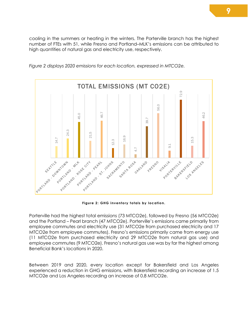cooling in the summers or heating in the winters. The Porterville branch has the highest number of FTEs with 51, while Fresno and Portland–MLK's emissions can be attributed to high quantities of natural gas and electricity use, respectively.



*Figure 2 displays 2020 emissions for each location, expressed in MTCO2e.*

**Figure 2: GHG inventory totals by location.**

<span id="page-9-0"></span>Porterville had the highest total emissions (73 MTCO2e), followed by Fresno (56 MTCO2e) and the Portland – Pearl branch (47 MTCO2e). Porterville's emissions came primarily from employee commutes and electricity use (31 MTCO2e from purchased electricity and 17 MTCO2e from employee commutes). Fresno's emissions primarily came from energy use (11 MTCO2e from purchased electricity and 29 MTCO2e from natural gas use) and employee commutes (9 MTCO2e). Fresno's natural gas use was by far the highest among Beneficial Bank's locations in 2020.

Between 2019 and 2020, every location except for Bakersfield and Los Angeles experienced a reduction in GHG emissions, with Bakersfield recording an increase of 1.5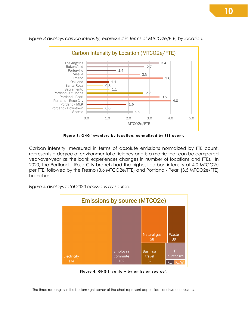

*Figure 3 displays carbon intensity, expressed in terms of MTCO2e/FTE, by location.*

**Figure 3: GHG inventory by location, normalized by FTE count.**

<span id="page-10-0"></span>Carbon intensity, measured in terms of absolute emissions normalized by FTE count, represents a degree of environmental efficiency and is a metric that can be compared year-over-year as the bank experiences changes in number of locations and FTEs. In 2020, the Portland – Rose City branch had the highest carbon intensity at 4.0 MTCO2e per FTE, followed by the Fresno (3.6 MTCO2e/FTE) and Portland - Pearl (3.5 MTCO2e/FTE) branches.

*Figure 4 displays total 2020 emissions by source.*



**Figure 4: GHG inventory by emission source [1](#page-10-2).**

<span id="page-10-2"></span><span id="page-10-1"></span><sup>&</sup>lt;sup>1</sup> The three rectangles in the bottom right corner of the chart represent paper, fleet, and water emissions.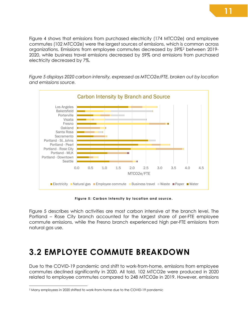Figure 4 shows that emissions from purchased electricity (174 MTCO2e) and employee commutes (102 MTCO2e) were the largest sources of emissions, which is common across organizations. Emissions from employee commutes decreased by 59%[2](#page-11-2) between 2019- 2020, while business travel emissions decreased by 59% and emissions from purchased electricity decreased by 7%.

*Figure 5 displays 2020 carbon intensity, expressed as MTCO2e/FTE, broken out by location and emissions source.*



**Figure 5: Carbon intensity by location and source.**

<span id="page-11-1"></span>Figure 5 describes which activities are most carbon intensive at the branch level. The Portland – Rose City branch accounted for the largest share of per-FTE employee commute emissions, while the Fresno branch experienced high per-FTE emissions from natural gas use.

### <span id="page-11-0"></span>**3.2 EMPLOYEE COMMUTE BREAKDOWN**

Due to the COVID-19 pandemic and shift to work-from-home, emissions from employee commutes declined significantly in 2020. All told, 102 MTCO2e were produced in 2020 related to employee commutes compared to 248 MTCO2e in 2019. However, emissions

<span id="page-11-2"></span><sup>2</sup> Many employees in 2020 shifted to work-from-home due to the COVID-19 pandemic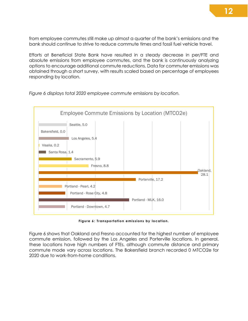from employee commutes still make up almost a quarter of the bank's emissions and the bank should continue to strive to reduce commute times and fossil fuel vehicle travel.

Efforts at Beneficial State Bank have resulted in a steady decrease in per/FTE and absolute emissions from employee commutes, and the bank is continuously analyzing options to encourage additional commute reductions. Data for commuter emissions was obtained through a short survey, with results scaled based on percentage of employees responding by location.



*Figure 6 displays total 2020 employee commute emissions by location.*

Figure 6: Transportation emissions by location.

<span id="page-12-0"></span>Figure 6 shows that Oakland and Fresno accounted for the highest number of employee commute emission, followed by the Los Angeles and Porterville locations. In general, these locations have high numbers of FTEs, although commute distance and primary commute mode vary across locations. The Bakersfield branch recorded 0 MTCO2e for 2020 due to work-from-home conditions.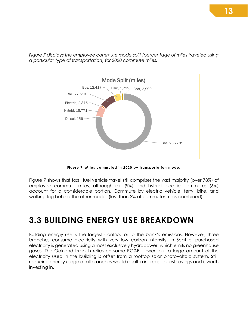*Figure 7 displays the employee commute mode split (percentage of miles traveled using a particular type of transportation) for 2020 commute miles.*



**Figure 7: Miles commuted in 2020 by transportation mode.**

<span id="page-13-1"></span>Figure 7 shows that fossil fuel vehicle travel still comprises the vast majority (over 78%) of employee commute miles, although rail (9%) and hybrid electric commutes (6%) account for a considerable portion. Commute by electric vehicle, ferry, bike, and walking lag behind the other modes (less than 3% of commuter miles combined).

### <span id="page-13-0"></span>**3.3 BUILDING ENERGY USE BREAKDOWN**

Building energy use is the largest contributor to the bank's emissions. However, three branches consume electricity with very low carbon intensity. In Seattle, purchased electricity is generated using almost exclusively hydropower, which emits no greenhouse gases. The Oakland branch relies on some PG&E power, but a large amount of the electricity used in the building is offset from a rooftop solar photovoltaic system. Still, reducing energy usage at all branches would result in increased cost savings and is worth investing in.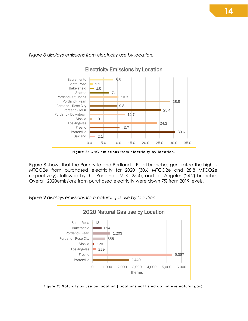2.1 30.6 10.7 24.2 1.0 12.7 25.4 9.8 28.8 10.3 7.1  $\blacksquare$  1.5  $\blacksquare$  1.1 8.5 0.0 5.0 10.0 15.0 20.0 25.0 30.0 35.0 **Oakland** Porterville Fresno Los Angeles Visalia Portland - Downtown Portland - MLK Portland - Rose City Portland - Pearl Portland - St. Johns Seattle Bakersfield Santa Rosa **Sacramento** Electricity Emissions by Location

*Figure 8 displays emissions from electricity use by location.*

Figure 8: GHG emissions from electricity by location.

<span id="page-14-0"></span>Figure 8 shows that the Porterville and Portland – Pearl branches generated the highest MTCO2e from purchased electricity for 2020 (30.6 MTCO2e and 28.8 MTCO2e, respectively), followed by the Portland - MLK (25.4), and Los Angeles (24.2) branches. Overall, 2020emissions from purchased electricity were down 7% from 2019 levels.

*Figure 9 displays emissions from natural gas use by location.*



<span id="page-14-1"></span>**Figure 9: Natural gas use by location (locations not listed do not use natural gas).**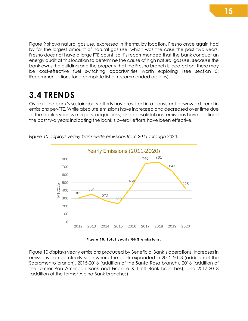Figure 9 shows natural gas use, expressed in therms, by location. Fresno once again had by far the largest amount of natural gas use, which was the case the past two years. Fresno does not have a large FTE count, so it's recommended that the bank conduct an energy audit at this location to determine the cause of high natural gas use. Because the bank owns the building and the property that the Fresno branch is located on, there may be cost-effective fuel switching opportunities worth exploring (see section 5: Recommendations for a complete list of recommended actions).

### <span id="page-15-0"></span>**3.4 TRENDS**

Overall, the bank's sustainability efforts have resulted in a consistent downward trend in emissions per-FTE. While absolute emissions have increased and decreased over time due to the bank's various mergers, acquisitions, and consolidations, emissions have declined the past two years indicating the bank's overall efforts have been effective.



*Figure 10 displays yearly bank-wide emissions from 2011 through 2020.*

**Figure 10: Total yearly GHG emissions.**

<span id="page-15-1"></span>Figure 10 displays yearly emissions produced by Beneficial Bank's operations. Increases in emissions can be clearly seen where the bank expanded in 2012-2013 (addition of the Sacramento branch), 2015-2016 (addition of the Santa Rosa branch), 2016 (addition of the former Pan American Bank and Finance & Thrift Bank branches), and 2017-2018 (addition of the former Albina Bank branches).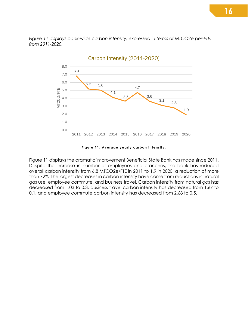*Figure 11 displays bank-wide carbon intensity, expressed in terms of MTCO2e per-FTE, from 2011-2020.*



**Figure 11: Average yearly carbon intensity.**

<span id="page-16-0"></span>Figure 11 displays the dramatic improvement Beneficial State Bank has made since 2011. Despite the increase in number of employees and branches, the bank has reduced overall carbon intensity from 6.8 MTCO2e/FTE in 2011 to 1.9 in 2020, a reduction of more than 72%. The largest decreases in carbon intensity have come from reductions in natural gas use, employee commute, and business travel. Carbon intensity from natural gas has decreased from 1.03 to 0.3, business travel carbon intensity has decreased from 1.67 to 0.1, and employee commute carbon intensity has decreased from 2.68 to 0.5.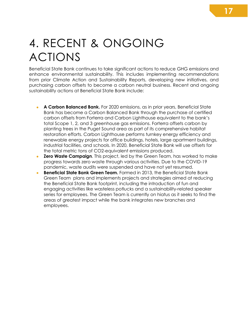# <span id="page-17-0"></span>4. RECENT & ONGOING ACTIONS

Beneficial State Bank continues to take significant actions to reduce GHG emissions and enhance environmental sustainability. This includes implementing recommendations from prior Climate Action and Sustainability Reports, developing new initiatives, and purchasing carbon offsets to become a carbon neutral business. Recent and ongoing sustainability actions at Beneficial State Bank include:

- **A Carbon Balanced Bank.** For 2020 emissions, as in prior years, Beneficial State Bank has become a Carbon Balanced Bank through the purchase of certified carbon offsets from Forterra and Carbon Lighthouse equivalent to the bank's total Scope 1, 2, and 3 greenhouse gas emissions. Forterra offsets carbon by planting trees in the Puget Sound area as part of its comprehensive habitat restoration efforts. Carbon Lighthouse performs turnkey energy efficiency and renewable energy projects for office buildings, hotels, large apartment buildings, industrial facilities, and schools. In 2020, Beneficial State Bank will use offsets for the total metric tons of CO2-equivalent emissions produced.
- **Zero Waste Campaign**. This project, led by the Green Team, has worked to make progress towards zero waste through various activities. Due to the COVID-19 pandemic, waste audits were suspended and have not yet resumed.
- **Beneficial State Bank Green Team.** Formed in 2013, the Beneficial State Bank Green Team plans and implements projects and strategies aimed at reducing the Beneficial State Bank footprint, including the introduction of fun and engaging activities like wasteless potlucks and a sustainability-related speaker series for employees. The Green Team is currently on hiatus as it seeks to find the areas of greatest impact while the bank integrates new branches and employees.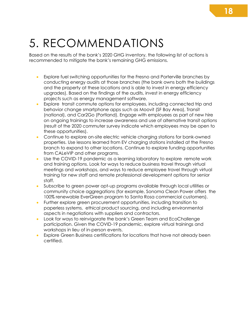## <span id="page-18-0"></span>5. RECOMMENDATIONS

Based on the results of the bank's 2020 GHG inventory, the following list of actions is recommended to mitigate the bank's remaining GHG emissions.

- Explore fuel switching opportunities for the Fresno and Porterville branches by conducting energy audits at those branches (the bank owns both the buildings and the property at these locations and is able to invest in energy efficiency upgrades). Based on the findings of the audits, invest in energy efficiency projects such as energy management software.
- Explore transit commute options for employees, including connected trip and behavior change smartphone apps such as Moovit (SF Bay Area), Transit (national), and Car2Go (Portland). Engage with employees as part of new hire on ongoing trainings to increase awareness and use of alternative transit options (result of the 2020 commuter survey indicate which employees may be open to these opportunities).
- Continue to explore on-site electric vehicle charging stations for bank-owned properties. Use lessons learned from EV charging stations installed at the Fresno branch to expand to other locations. Continue to explore funding opportunities from CALeVIP and other programs.
- Use the COVID-19 pandemic as a learning laboratory to explore remote work and training options. Look for ways to reduce business travel through virtual meetings and workshops, and ways to reduce employee travel through virtual training for new staff and remote professional development options for senior staff.
- Subscribe to green power opt-up programs available through local utilities or community choice aggregations (for example, Sonoma Clean Power offers the 100% renewable EverGreen program to Santa Rosa commercial customers).
- Further explore green procurement opportunities, including transition to paperless systems, ethical product sourcing, and including environmental aspects in negotiations with suppliers and contractors.
- Look for ways to reinvigorate the bank's Green Team and EcoChallenge participation. Given the COVID-19 pandemic, explore virtual trainings and workshops in lieu of in-person events.
- Explore Green Business certifications for locations that have not already been certified.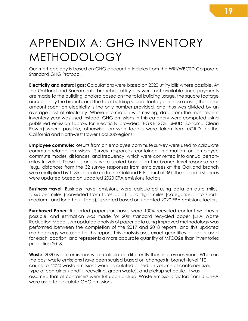## <span id="page-19-0"></span>APPENDIX A: GHG INVENTORY METHODOLOGY

Our methodology is based on GHG account principles from the WRI/WBCSD Corporate Standard GHG Protocol.

**Electricity and natural gas:** Calculations were based on 2020 utility bills where possible. At the Oakland and Sacramento branches, utility bills were not available since payments are made to the building landlord based on the total building usage, the square footage occupied by the branch, and the total building square footage. In these cases, the dollar amount spent on electricity is the only number provided, and thus was divided by an average cost of electricity. Where information was missing, data from the most recent inventory year was used instead. GHG emissions in this category were computed using published emission factors for electricity providers (PG&E, SCE, SMUD, Sonoma Clean Power) where possible; otherwise, emission factors were taken from eGRID for the California and Northwest Power Pool subregions.

**Employee commute:** Results from an employee commute survey were used to calculate commute-related emissions. Survey responses contained information on employee commute modes, distances, and frequency, which were converted into annual personmiles traveled. These distances were scaled based on the branch-level response rate (e.g., distances from the 32 survey responses from employees at the Oakland branch were multiplied by 113% to scale up to the Oakland FTE count of 36). The scaled distances were updated based on updated 2020 EPA emissions factors.

**Business travel:** Business travel emissions were calculated using data on auto miles, taxi/Uber miles (converted from fares paid), and flight miles (categorized into short-, medium-, and long-haul flights), updated based on updated 2020 EPA emissions factors.

**Purchased Paper:** Reported paper purchases were 100% recycled content whenever possible, and estimation was made for 20# standard recycled paper (EPA Waste Reduction Model). An updated analysis of paper data using improved methodology was performed between the completion of the 2017 and 2018 reports, and this updated methodology was used for this report. This analysis uses exact quantities of paper used for each location, and represents a more accurate quantity of MTCO2e than inventories predating 2018.

**Waste:** 2020 waste emissions were calculated differently than in previous years. Where in the past waste emissions have been scaled based on changes in branch-level FTE count, for 2020 waste emissions were calculated based on volume of container size, type of container (landfill, recycling, green waste), and pickup schedule. It was assumed that all containers were full upon pickup. Waste emissions factors from U.S. EPA were used to calculate GHG emissions.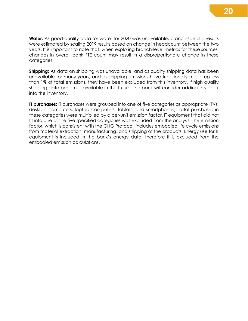**Water:** As good-quality data for water for 2020 was unavailable, branch-specific results were estimated by scaling 2019 results based on change in headcount between the two years. It is important to note that, when exploring branch-level metrics for these sources, changes in overall bank FTE count may result in a disproportionate change in these categories.

**Shipping:** As data on shipping was unavailable, and as quality shipping data has been unavailable for many years, and as shipping emissions have traditionally made up less than 1% of total emissions, they have been excluded from this inventory. If high quality shipping data becomes available in the future, the bank will consider adding this back into the inventory.

**IT purchases:** IT purchases were grouped into one of five categories as appropriate (TVs, desktop computers, laptop computers, tablets, and smartphones). Total purchases in these categories were multiplied by a per-unit emission factor. IT equipment that did not fit into one of the five specified categories was excluded from the analysis. The emission factor, which is consistent with the GHG Protocol, includes embodied life cycle emissions from material extraction, manufacturing, and shipping of the products. Energy use for IT equipment is included in the bank's energy data, therefore it is excluded from the embodied emission calculations.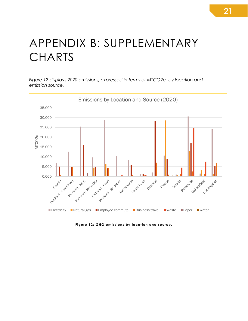## <span id="page-21-0"></span>APPENDIX B: SUPPLEMENTARY **CHARTS**

*Figure 12 displays 2020 emissions, expressed in terms of MTCO2e, by location and emission source.*



<span id="page-21-1"></span>**Figure 12: GHG emissions by location and source.**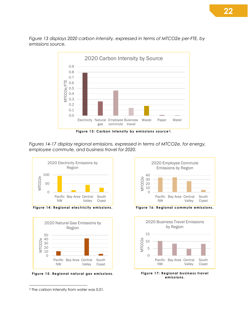*Figure 13 displays 2020 carbon intensity, expressed in terms of MTCO2e per-FTE, by emissions source.*



<span id="page-22-0"></span>*Figures 14-17 display regional emissions, expressed in terms of MTCO2e, for energy, employee commute, and business travel for 2020.*



<span id="page-22-1"></span>**Figure 14: Regional electricity emissions.**



<span id="page-22-2"></span>**Figure 15: Regional natural gas emissions.**



<span id="page-22-3"></span>**Figure 16: Regional commute emissions.**



<span id="page-22-4"></span>**Figure 17: Regional business travel emissions.**

<span id="page-22-5"></span><sup>&</sup>lt;sup>3</sup> The carbon intensity from water was 0.01.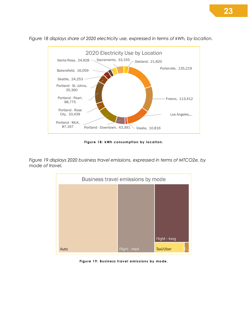

*Figure 18 displays share of 2020 electricity use, expressed in terms of kWh, by location.*

**Figure 18: kWh consumption by location.**

<span id="page-23-0"></span>*Figure 19 displays 2020 business travel emissions, expressed in terms of MTCO2e, by mode of travel.*



<span id="page-23-1"></span>**Figure 19: Business travel emissions by mode.**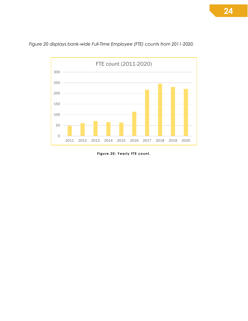

*Figure 20 displays bank-wide Full-Time Employee (FTE) counts from 2011-2020.*

<span id="page-24-0"></span>**Figure 20: Yearly FTE count.**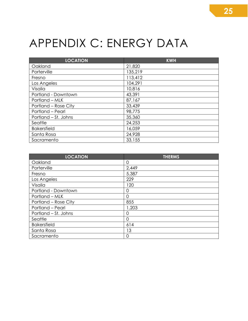# <span id="page-25-0"></span>APPENDIX C: ENERGY DATA

| <b>LOCATION</b>      | <b>KWH</b> |
|----------------------|------------|
| Oakland              | 21,820     |
| Porterville          | 135,219    |
| Fresno               | 113,412    |
| Los Angeles          | 104,291    |
| Visalia              | 10,816     |
| Portland - Downtown  | 43,391     |
| Portland – MLK       | 87,167     |
| Portland - Rose City | 33,439     |
| Portland - Pearl     | 98,775     |
| Portland – St. Johns | 35,360     |
| Seattle              | 24,253     |
| <b>Bakersfield</b>   | 16,059     |
| Santa Rosa           | 24,928     |
| Sacramento           | 33,155     |

| <b>LOCATION</b>      | <b>THERMS</b>  |
|----------------------|----------------|
| Oakland              | $\overline{0}$ |
| Porterville          | 2,449          |
| Fresno               | 5,387          |
| Los Angeles          | 229            |
| Visalia              | 120            |
| Portland - Downtown  | O              |
| Portland – MLK       | O              |
| Portland – Rose City | 855            |
| Portland - Pearl     | 1,203          |
| Portland – St. Johns | ∩              |
| Seattle              | 0              |
| <b>Bakersfield</b>   | 614            |
| Santa Rosa           | 13             |
| Sacramento           | 0              |